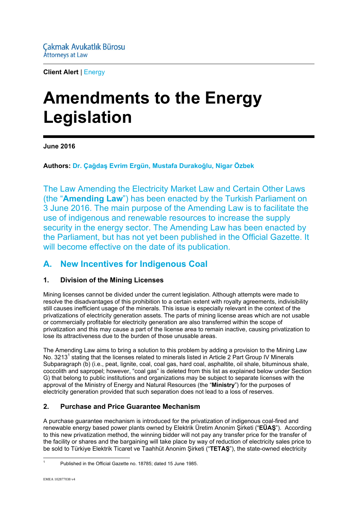**Client Alert** | Energy

# **Amendments to the Energy Legislation**

**June 2016** 

**Authors: Dr. Çağdaş Evrim Ergün, Mustafa Durakoğlu, Nigar Özbek**

The Law Amending the Electricity Market Law and Certain Other Laws (the "**Amending Law**") has been enacted by the Turkish Parliament on 3 June 2016. The main purpose of the Amending Law is to facilitate the use of indigenous and renewable resources to increase the supply security in the energy sector. The Amending Law has been enacted by the Parliament, but has not yet been published in the Official Gazette. It will become effective on the date of its publication.

### **A. New Incentives for Indigenous Coal**

#### **1. Division of the Mining Licenses**

Mining licenses cannot be divided under the current legislation. Although attempts were made to resolve the disadvantages of this prohibition to a certain extent with royalty agreements, indivisibility still causes inefficient usage of the minerals. This issue is especially relevant in the context of the privatizations of electricity generation assets. The parts of mining license areas which are not usable or commercially profitable for electricity generation are also transferred within the scope of privatization and this may cause a part of the license area to remain inactive, causing privatization to lose its attractiveness due to the burden of those unusable areas.

The Amending Law aims to bring a solution to this problem by adding a provision to the Mining Law No. 3213<sup>1</sup> stating that the licenses related to minerals listed in Article 2 Part Group IV Minerals Subparagraph (b) (i.e., peat, lignite, coal, coal gas, hard coal, asphaltite, oil shale, bituminous shale, coccolith and sapropel; however, "coal gas" is deleted from this list as explained below under Section G) that belong to public institutions and organizations may be subject to separate licenses with the approval of the Ministry of Energy and Natural Resources (the "**Ministry**") for the purposes of electricity generation provided that such separation does not lead to a loss of reserves.

#### **2. Purchase and Price Guarantee Mechanism**

A purchase guarantee mechanism is introduced for the privatization of indigenous coal-fired and renewable energy based power plants owned by Elektrik Üretim Anonim Şirketi ("**EÜAŞ**"). According to this new privatization method, the winning bidder will not pay any transfer price for the transfer of the facility or shares and the bargaining will take place by way of reduction of electricity sales price to be sold to Türkiye Elektrik Ticaret ve Taahhüt Anonim Şirketi ("**TETAŞ**"), the state-owned electricity

1 1

Published in the Official Gazette no. 18785; dated 15 June 1985.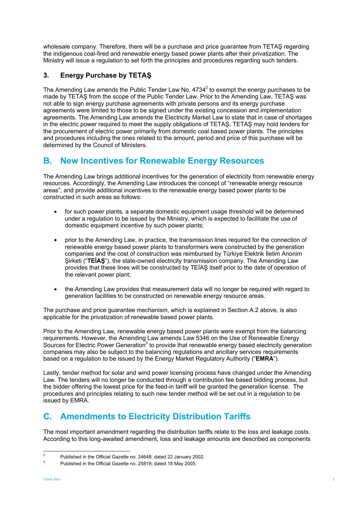wholesale company. Therefore, there will be a purchase and price guarantee from TETAŞ regarding the indigenous coal-fired and renewable energy based power plants after their privatization. The Ministry will issue a regulation to set forth the principles and procedures regarding such tenders.

#### **3. Energy Purchase by TETAŞ**

The Amending Law amends the Public Tender Law No.  $4734^2$  to exempt the energy purchases to be made by TETAŞ from the scope of the Public Tender Law. Prior to the Amending Law, TETAŞ was not able to sign energy purchase agreements with private persons and its energy purchase agreements were limited to those to be signed under the existing concession and implementation agreements. The Amending Law amends the Electricity Market Law to state that in case of shortages in the electric power required to meet the supply obligations of TETAŞ, TETAŞ may hold tenders for the procurement of electric power primarily from domestic coal based power plants. The principles and procedures including the ones related to the amount, period and price of this purchase will be determined by the Council of Ministers.

## **B. New Incentives for Renewable Energy Resources**

The Amending Law brings additional incentives for the generation of electricity from renewable energy resources. Accordingly, the Amending Law introduces the concept of "renewable energy resource areas", and provide additional incentives to the renewable energy based power plants to be constructed in such areas as follows:

- for such power plants, a separate domestic equipment usage threshold will be determined under a regulation to be issued by the Ministry, which is expected to facilitate the use of domestic equipment incentive by such power plants;
- prior to the Amending Law, in practice, the transmission lines required for the connection of renewable energy based power plants to transformers were constructed by the generation companies and the cost of construction was reimbursed by Türkiye Elektrik İletim Anonim Şirketi ("**TEİAŞ**"), the state-owned electricity transmission company. The Amending Law provides that these lines will be constructed by TEİAŞ itself prior to the date of operation of the relevant power plant;
- the Amending Law provides that measurement data will no longer be required with regard to generation facilities to be constructed on renewable energy resource areas.

The purchase and price guarantee mechanism, which is explained in Section A.2 above, is also applicable for the privatization of renewable based power plants.

Prior to the Amending Law, renewable energy based power plants were exempt from the balancing requirements. However, the Amending Law amends Law 5346 on the Use of Renewable Energy Sources for Electric Power Generation<sup>3</sup> to provide that renewable energy based electricity generation companies may also be subject to the balancing regulations and ancillary services requirements based on a regulation to be issued by the Energy Market Regulatory Authority ("**EMRA**").

Lastly, tender method for solar and wind power licensing process have changed under the Amending Law. The tenders will no longer be conducted through a contribution fee based bidding process, but the bidder offering the lowest price for the feed-in tariff will be granted the generation license. The procedures and principles relating to such new tender method will be set out in a regulation to be issued by EMRA.

## **C. Amendments to Electricity Distribution Tariffs**

The most important amendment regarding the distribution tariffs relate to the loss and leakage costs. According to this long-awaited amendment, loss and leakage amounts are described as components

 $\frac{1}{2}$ Published in the Official Gazette no. 24648; dated 22 January 2002.

<sup>3</sup> Published in the Official Gazette no. 25819; dated 18 May 2005.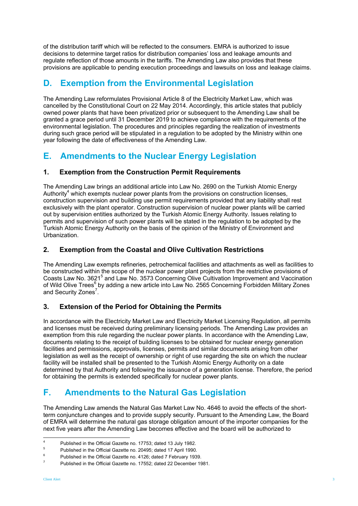of the distribution tariff which will be reflected to the consumers. EMRA is authorized to issue decisions to determine target ratios for distribution companies' loss and leakage amounts and regulate reflection of those amounts in the tariffs. The Amending Law also provides that these provisions are applicable to pending execution proceedings and lawsuits on loss and leakage claims.

## **D. Exemption from the Environmental Legislation**

The Amending Law reformulates Provisional Article 8 of the Electricity Market Law, which was cancelled by the Constitutional Court on 22 May 2014. Accordingly, this article states that publicly owned power plants that have been privatized prior or subsequent to the Amending Law shall be granted a grace period until 31 December 2019 to achieve compliance with the requirements of the environmental legislation. The procedures and principles regarding the realization of investments during such grace period will be stipulated in a regulation to be adopted by the Ministry within one year following the date of effectiveness of the Amending Law.

## **E. Amendments to the Nuclear Energy Legislation**

#### **1. Exemption from the Construction Permit Requirements**

The Amending Law brings an additional article into Law No. 2690 on the Turkish Atomic Energy Authority<sup>4</sup> which exempts nuclear power plants from the provisions on construction licenses, construction supervision and building use permit requirements provided that any liability shall rest exclusively with the plant operator. Construction supervision of nuclear power plants will be carried out by supervision entities authorized by the Turkish Atomic Energy Authority. Issues relating to permits and supervision of such power plants will be stated in the regulation to be adopted by the Turkish Atomic Energy Authority on the basis of the opinion of the Ministry of Environment and Urbanization.

#### **2. Exemption from the Coastal and Olive Cultivation Restrictions**

The Amending Law exempts refineries, petrochemical facilities and attachments as well as facilities to be constructed within the scope of the nuclear power plant projects from the restrictive provisions of Coasts Law No. 3621<sup>5</sup> and Law No. 3573 Concerning Olive Cultivation Improvement and Vaccination of Wild Olive Trees<sup>6</sup> by adding a new article into Law No. 2565 Concerning Forbidden Military Zones and Security Zones<sup>7</sup>.

#### **3. Extension of the Period for Obtaining the Permits**

In accordance with the Electricity Market Law and Electricity Market Licensing Regulation, all permits and licenses must be received during preliminary licensing periods. The Amending Law provides an exemption from this rule regarding the nuclear power plants. In accordance with the Amending Law, documents relating to the receipt of building licenses to be obtained for nuclear energy generation facilities and permissions, approvals, licenses, permits and similar documents arising from other legislation as well as the receipt of ownership or right of use regarding the site on which the nuclear facility will be installed shall be presented to the Turkish Atomic Energy Authority on a date determined by that Authority and following the issuance of a generation license. Therefore, the period for obtaining the permits is extended specifically for nuclear power plants.

## **F. Amendments to the Natural Gas Legislation**

The Amending Law amends the Natural Gas Market Law No. 4646 to avoid the effects of the shortterm conjuncture changes and to provide supply security. Pursuant to the Amending Law, the Board of EMRA will determine the natural gas storage obligation amount of the importer companies for the next five years after the Amending Law becomes effective and the board will be authorized to

 $\frac{1}{4}$ Published in the Official Gazette no. 17753; dated 13 July 1982.

<sup>5</sup> Published in the Official Gazette no. 20495; dated 17 April 1990.

<sup>6</sup> Published in the Official Gazette no. 4126; dated 7 February 1939.

<sup>7</sup> Published in the Official Gazette no. 17552; dated 22 December 1981.